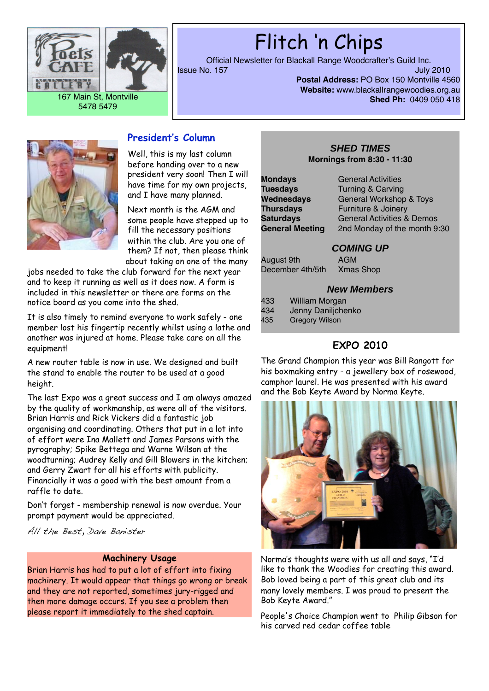



# Flitch 'n Chips

Official Newsletter for Blackall Range Woodcrafter's Guild Inc. **Issue No. 157** 

**Postal Address:** PO Box 150 Montville 4560 **Website:** www.blackallrangewoodies.org.au **Shed Ph:** 0409 050 418



### **President's Column**

Well, this is my last column before handing over to a new president very soon! Then I will have time for my own projects, and I have many planned.

Next month is the AGM and some people have stepped up to fill the necessary positions within the club. Are you one of them? If not, then please think about taking on one of the many

jobs needed to take the club forward for the next year and to keep it running as well as it does now. A form is included in this newsletter or there are forms on the notice board as you come into the shed.

It is also timely to remind everyone to work safely - one member lost his fingertip recently whilst using a lathe and another was injured at home. Please take care on all the equipment!

A new router table is now in use. We designed and built the stand to enable the router to be used at a good height.

The last Expo was a great success and I am always amazed by the quality of workmanship, as were all of the visitors. Brian Harris and Rick Vickers did a fantastic job organising and coordinating. Others that put in a lot into of effort were Ina Mallett and James Parsons with the pyrography; Spike Bettega and Warne Wilson at the woodturning; Audrey Kelly and Gill Blowers in the kitchen; and Gerry Zwart for all his efforts with publicity. Financially it was a good with the best amount from a raffle to date.

Don't forget - membership renewal is now overdue. Your prompt payment would be appreciated.

All the Best, Dave Banister

#### **Machinery Usage**

Brian Harris has had to put a lot of effort into fixing machinery. It would appear that things go wrong or break and they are not reported, sometimes jury-rigged and then more damage occurs. If you see a problem then please report it immediately to the shed captain.

### **SHED TIMES Mornings from 8:30 - 11:30**

**Mondays General Activities** 

**Tuesdays Turning & Carving** Wednesdays **General Workshop & Toys Thursdays** Furniture & Joinery **Saturdays** General Activities & Demos<br>**General Meeting** 2nd Monday of the month 9 2nd Monday of the month 9:30

### **COMING UP**

August 9th AGM December 4th/5th Xmas Shop

### **New Members**

- 433 Milliam Morga<mark>n</mark><br>434 Jenny Daniliche
- 434 Jenny Daniljchenko<br>435 Gregory Wilson
- **Gregory Wilson**

### **EXPO 2010**

The Grand Champion this year was Bill Rangott for his boxmaking entry - a jewellery box of rosewood, camphor laurel. He was presented with his award and the Bob Keyte Award by Norma Keyte.



Norma's thoughts were with us all and says, "I'd like to thank the Woodies for creating this award. Bob loved being a part of this great club and its many lovely members. I was proud to present the Bob Keyte Award."

People's Choice Champion went to Philip Gibson for his carved red cedar coffee table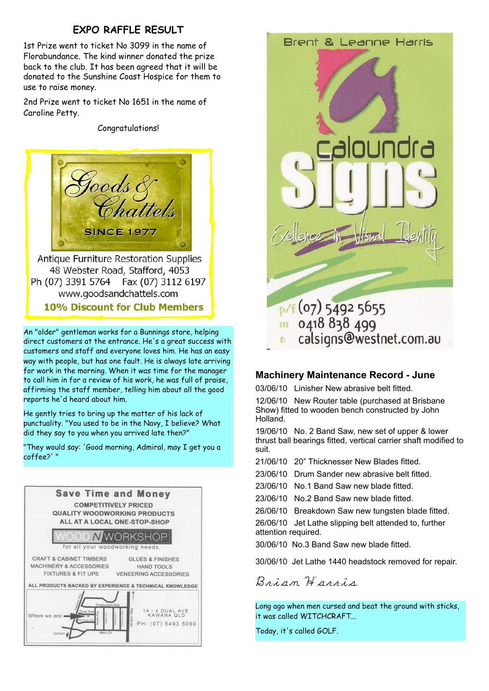### **EXPO RAFFLE RESULT**

1st Prize went to ticket No 3099 in the name of Florabundance. The kind winner donated the prize back to the club. It has been agreed that it will be donated to the Sunshine Coast Hospice for them to use to raise money.

2nd Prize went to ticket No 1651 in the name of Caroline Petty.

Conaratulations!



Antique Furniture Restoration Supplies 48 Webster Road, Stafford, 4053 Ph (07) 3391 5764 Fax (07) 3112 6197 www.goodsandchattels.com **10% Discount for Club Members** 

An "older" gentleman works for a Bunnings store, helping direct customers at the entrance. He's a great success with customers and staff and everyone loves him. He has an easy way with people, but has one fault. He is always late arriving for work in the morning. When it was time for the manager to call him in for a review of his work, he was full of praise, affirming the staff member, telling him about all the good reports he'd heard about him.

He gently tries to bring up the matter of his lack of punctuality. "You used to be in the Navy, I believe? What did they say to you when you arrived late then?"

"They would say: 'Good morning, Admiral, may I get you a coffee?' "





### **Machinery Maintenance Record - June**

03/06/10 Linisher New abrasive belt fitted.

12/06/10 New Router table (purchased at Brisbane Show) fitted to wooden bench constructed by John Holland.

19/06/10 No. 2 Band Saw, new set of upper & lower thrust ball bearings fitted, vertical carrier shaft modified to suit.

21/06/10 20" Thicknesser New Blades fitted.

23/06/10 Drum Sander new abrasive belt fitted.

- 23/06/10 No.1 Band Saw new blade fitted.
- 23/06/10 No.2 Band Saw new blade fitted.
- 26/06/10 Breakdown Saw new tungsten blade fitted.

26/06/10 Jet Lathe slipping belt attended to, further attention required.

30/06/10 No.3 Band Saw new blade fitted.

30/06/10 Jet Lathe 1440 headstock removed for repair.

Brian Harris

Long ago when men cursed and beat the ground with sticks, it was called WITCHCRAFT...

Today, it's called GOLF.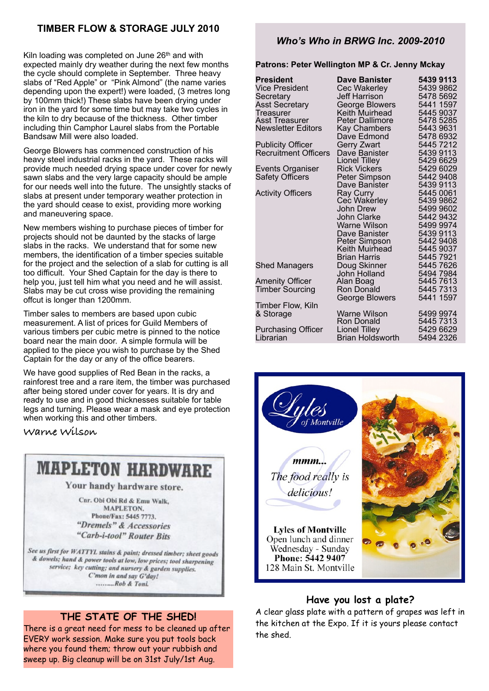### **TIMBER FLOW & STORAGE JULY 2010**

Kiln loading was completed on June  $26<sup>th</sup>$  and with expected mainly dry weather during the next few months the cycle should complete in September. Three heavy slabs of "Red Apple" or "Pink Almond" (the name varies depending upon the expert!) were loaded, (3 metres long by 100mm thick!) These slabs have been drying under iron in the yard for some time but may take two cycles in the kiln to dry because of the thickness. Other timber including thin Camphor Laurel slabs from the Portable Bandsaw Mill were also loaded.

George Blowers has commenced construction of his heavy steel industrial racks in the yard. These racks will provide much needed drying space under cover for newly sawn slabs and the very large capacity should be ample for our needs well into the future. The unsightly stacks of slabs at present under temporary weather protection in the yard should cease to exist, providing more working and maneuvering space.

New members wishing to purchase pieces of timber for projects should not be daunted by the stacks of large slabs in the racks. We understand that for some new members, the identification of a timber species suitable for the project and the selection of a slab for cutting is all too difficult. Your Shed Captain for the day is there to help you, just tell him what you need and he will assist. Slabs may be cut cross wise providing the remaining offcut is longer than 1200mm.

Timber sales to members are based upon cubic measurement. A list of prices for Guild Members of various timbers per cubic metre is pinned to the notice board near the main door. A simple formula will be applied to the piece you wish to purchase by the Shed Captain for the day or any of the office bearers.

We have good supplies of Red Bean in the racks, a rainforest tree and a rare item, the timber was purchased after being stored under cover for years. It is dry and ready to use and in good thicknesses suitable for table legs and turning. Please wear a mask and eye protection when working this and other timbers.

**Warne Wilson**

# **MAPLETON HARDWARE**

Your handy hardware store.

Car, Obi Obi Rd & Emu Walk **MAPLETON.** Phone/Fax: 5445 7773. "Dremels" & Accessories "Carb-i-tool" Router Bits

See us first for WATTYL stains & paint; dressed timber; sheet goods & dowels; hand & power tools at low, low prices; tool sharpening service; key cutting; and nursery & garden supplies. C'mon in and say G'day! .........Rob & Toni.

### **THE STATE OF THE SHED!**

There is a great need for mess to be cleaned up after EVERY work session. Make sure you put tools back where you found them; throw out your rubbish and sweep up. Big cleanup will be on 31st July/1st Aug.

### *Who's Who in BRWG Inc. 2009-2010*

**Patrons: Peter Wellington MP & Cr. Jenny Mckay**

| President                   | <b>Dave Banister</b>             | 5439 9113              |
|-----------------------------|----------------------------------|------------------------|
| Vice President              | Cec Wakerley                     | 5439 9862              |
| Secretary                   | Jeff Harrison                    | 5478 5692              |
| <b>Asst Secretary</b>       | George Blowers                   | 5441 1597              |
| <b>Treasurer</b>            | Keith Muirhead                   | 5445 9037              |
| Asst Treasurer              | Peter Dallimore                  | 5478 5285              |
| <b>Newsletter Editors</b>   | Kay Chambers                     | 5443 9631              |
|                             | Dave Edmond                      | 5478 6932              |
| <b>Publicity Officer</b>    | Gerry Zwart                      | 5445 7212              |
| <b>Recruitment Officers</b> | Dave Banister                    | 5439 9113              |
|                             | Lionel Tilley                    | 5429 6629              |
| <b>Events Organiser</b>     | <b>Rick Vickers</b>              | 5429 6029              |
| <b>Safety Officers</b>      | Peter Simpson                    | 5442 9408              |
|                             | Dave Banister                    | 5439 9113              |
| <b>Activity Officers</b>    | Ray Curry                        | 5445 0061              |
|                             | Cec Wakerley<br><b>John Drew</b> | 5439 9862              |
|                             | John Clarke                      | 5499 9602<br>5442 9432 |
|                             | <b>Warne Wilson</b>              | 5499 9974              |
|                             | Dave Banister                    | 5439 9113              |
|                             | Peter Simpson                    | 5442 9408              |
|                             | Keith Muirhead                   | 5445 9037              |
|                             | Brian Harris                     | 5445 7921              |
| <b>Shed Managers</b>        | Doug Skinner                     | 5445 7626              |
|                             | John Holland                     | 5494 7984              |
| <b>Amenity Officer</b>      | Alan Boag                        | 5445 7613              |
| <b>Timber Sourcing</b>      | <b>Ron Donald</b>                | 5445 7313              |
|                             | George Blowers                   | 5441 1597              |
| Timber Flow, Kiln           |                                  |                        |
| & Storage                   | Warne Wilson                     | 5499 9974              |
|                             | Ron Donald                       | 5445 7313              |
| <b>Purchasing Officer</b>   | <b>Lionel Tilley</b>             | 5429 6629              |
| Librarian                   | <b>Brian Holdsworth</b>          | 5494 2326              |



### **Have you lost a plate?**

A clear glass plate with a pattern of grapes was left in the kitchen at the Expo. If it is yours please contact the shed.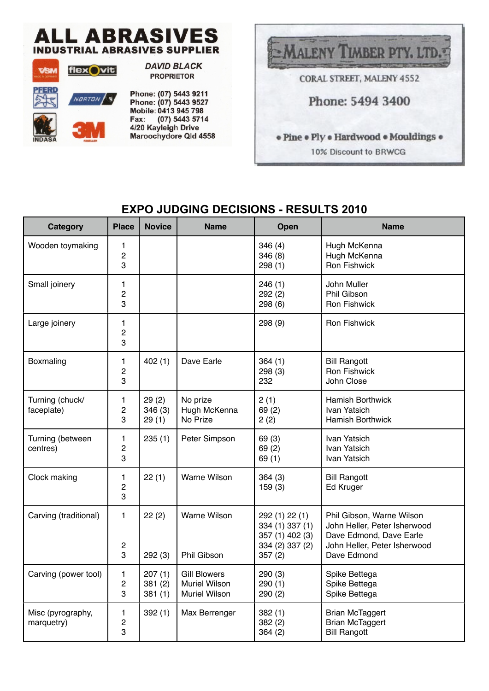# **ALL ABRASIVES INDUSTRIAL ABRASIVES SUPPLIER**



**DAVID BLACK PROPRIETOR** 

Phone: (07) 5443 9211 Phone: (07) 5443 9527 Mobile: 0413 945 798 Fax: (07) 5443 5714 4/20 Kayleigh Drive Maroochydore Qld 4558



### **EXPO JUDGING DECISIONS - RESULTS 2010**

| Category                        | <b>Place</b>                        | <b>Novice</b>              | <b>Name</b>                                                         | Open                                                                              | <b>Name</b>                                                                                                                         |
|---------------------------------|-------------------------------------|----------------------------|---------------------------------------------------------------------|-----------------------------------------------------------------------------------|-------------------------------------------------------------------------------------------------------------------------------------|
| Wooden toymaking                | 1<br>$\overline{c}$<br>3            |                            |                                                                     | 346(4)<br>346(8)<br>298(1)                                                        | Hugh McKenna<br>Hugh McKenna<br><b>Ron Fishwick</b>                                                                                 |
| Small joinery                   | 1<br>$\overline{c}$<br>3            |                            |                                                                     | 246(1)<br>292(2)<br>298 (6)                                                       | John Muller<br>Phil Gibson<br><b>Ron Fishwick</b>                                                                                   |
| Large joinery                   | 1<br>$\overline{c}$<br>3            |                            |                                                                     | 298 (9)                                                                           | <b>Ron Fishwick</b>                                                                                                                 |
| Boxmaling                       | 1<br>$\overline{c}$<br>3            | 402(1)                     | Dave Earle                                                          | 364(1)<br>298(3)<br>232                                                           | <b>Bill Rangott</b><br><b>Ron Fishwick</b><br>John Close                                                                            |
| Turning (chuck/<br>faceplate)   | 1<br>$\overline{c}$<br>3            | 29(2)<br>346(3)<br>29(1)   | No prize<br>Hugh McKenna<br>No Prize                                | 2(1)<br>69(2)<br>2(2)                                                             | <b>Hamish Borthwick</b><br>Ivan Yatsich<br><b>Hamish Borthwick</b>                                                                  |
| Turning (between<br>centres)    | 1<br>$\overline{c}$<br>3            | 235(1)                     | Peter Simpson                                                       | 69 (3)<br>69(2)<br>69(1)                                                          | Ivan Yatsich<br>Ivan Yatsich<br>Ivan Yatsich                                                                                        |
| Clock making                    | $\mathbf{1}$<br>$\overline{c}$<br>3 | 22(1)                      | Warne Wilson                                                        | 364(3)<br>159(3)                                                                  | <b>Bill Rangott</b><br>Ed Kruger                                                                                                    |
| Carving (traditional)           | $\mathbf{1}$<br>$\overline{c}$<br>3 | 22(2)<br>292(3)            | Warne Wilson<br>Phil Gibson                                         | 292 (1) 22 (1)<br>334 (1) 337 (1)<br>357 (1) 402 (3)<br>334 (2) 337 (2)<br>357(2) | Phil Gibson, Warne Wilson<br>John Heller, Peter Isherwood<br>Dave Edmond, Dave Earle<br>John Heller, Peter Isherwood<br>Dave Edmond |
| Carving (power tool)            | 1<br>$\overline{c}$<br>3            | 207(1)<br>381(2)<br>381(1) | <b>Gill Blowers</b><br><b>Muriel Wilson</b><br><b>Muriel Wilson</b> | 290(3)<br>290(1)<br>290(2)                                                        | Spike Bettega<br>Spike Bettega<br>Spike Bettega                                                                                     |
| Misc (pyrography,<br>marquetry) | $\mathbf{1}$<br>$\overline{c}$<br>3 | 392(1)                     | Max Berrenger                                                       | 382(1)<br>382(2)<br>364(2)                                                        | <b>Brian McTaggert</b><br><b>Brian McTaggert</b><br><b>Bill Rangott</b>                                                             |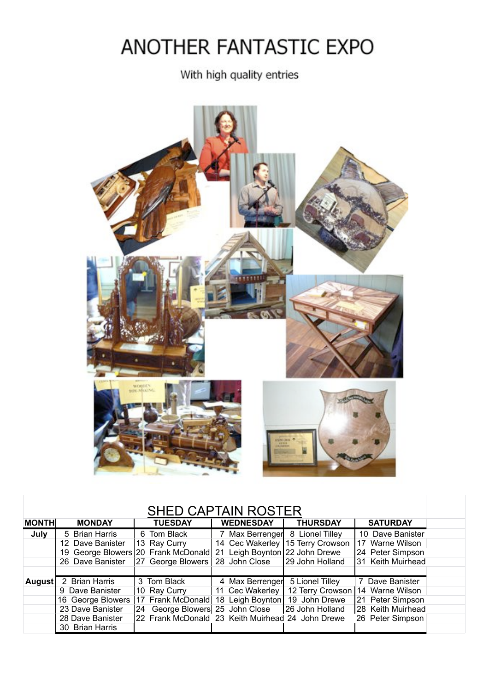# ANOTHER FANTASTIC EXPO

With high quality entries



| <b>SHED CAPTAIN ROSTER</b> |                                     |  |                                 |  |                  |                                                   |  |                   |
|----------------------------|-------------------------------------|--|---------------------------------|--|------------------|---------------------------------------------------|--|-------------------|
| <b>MONTH</b>               | <b>MONDAY</b>                       |  | <b>TUESDAY</b>                  |  | <b>WEDNESDAY</b> | <b>THURSDAY</b>                                   |  | <b>SATURDAY</b>   |
| July                       | 5 Brian Harris                      |  | 6 Tom Black                     |  | 7 Max Berrenger  | 8 Lionel Tilley                                   |  | 10 Dave Banister  |
|                            | 12 Dave Banister                    |  | 13 Ray Curry                    |  |                  | 14 Cec Wakerley   15 Terry Crowson                |  | 17 Warne Wilson   |
|                            | 19 George Blowers 20 Frank McDonald |  |                                 |  |                  | 21 Leigh Boynton 22 John Drewe                    |  | 24 Peter Simpson  |
|                            | 26 Dave Banister                    |  | 27 George Blowers               |  | 28 John Close    | 29 John Holland                                   |  | 31 Keith Muirhead |
|                            |                                     |  |                                 |  |                  |                                                   |  |                   |
| <b>August</b>              | 2 Brian Harris                      |  | 3 Tom Black                     |  |                  | 4 Max Berrenger 5 Lionel Tilley                   |  | 7 Dave Banister   |
|                            | 9 Dave Banister                     |  | 10 Ray Curry                    |  |                  | 11 Cec Wakerley   12 Terry Crowson                |  | 14 Warne Wilson   |
|                            | 16 George Blowers                   |  | 17 Frank McDonald               |  |                  | 18 Leigh Boynton   19 John Drewe                  |  | 21 Peter Simpson  |
|                            | 23 Dave Banister                    |  | 24 George Blowers 25 John Close |  |                  | 26 John Holland                                   |  | 28 Keith Muirhead |
|                            | 28 Dave Banister                    |  |                                 |  |                  | 22 Frank McDonald 23 Keith Muirhead 24 John Drewe |  | 26 Peter Simpson  |
|                            | 30 Brian Harris                     |  |                                 |  |                  |                                                   |  |                   |